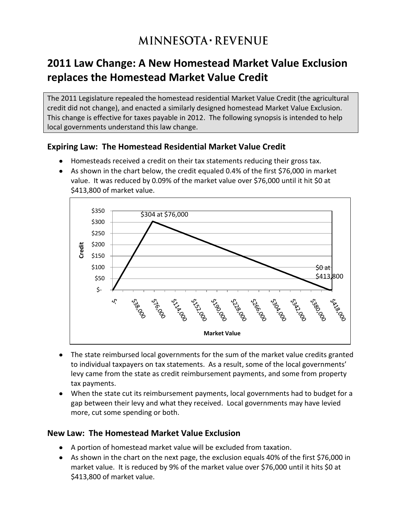# **MINNESOTA · REVENUE**

## **2011 Law Change: A New Homestead Market Value Exclusion replaces the Homestead Market Value Credit**

The 2011 Legislature repealed the homestead residential Market Value Credit (the agricultural credit did not change), and enacted a similarly designed homestead Market Value Exclusion. This change is effective for taxes payable in 2012. The following synopsis is intended to help local governments understand this law change.

#### **Expiring Law: The Homestead Residential Market Value Credit**

- Homesteads received a credit on their tax statements reducing their gross tax.
- As shown in the chart below, the credit equaled 0.4% of the first \$76,000 in market value. It was reduced by 0.09% of the market value over \$76,000 until it hit \$0 at \$413,800 of market value.



- The state reimbursed local governments for the sum of the market value credits granted to individual taxpayers on tax statements. As a result, some of the local governments' levy came from the state as credit reimbursement payments, and some from property tax payments.
- When the state cut its reimbursement payments, local governments had to budget for a gap between their levy and what they received. Local governments may have levied more, cut some spending or both.

#### **New Law: The Homestead Market Value Exclusion**

- A portion of homestead market value will be excluded from taxation.
- As shown in the chart on the next page, the exclusion equals 40% of the first \$76,000 in market value. It is reduced by 9% of the market value over \$76,000 until it hits \$0 at \$413,800 of market value.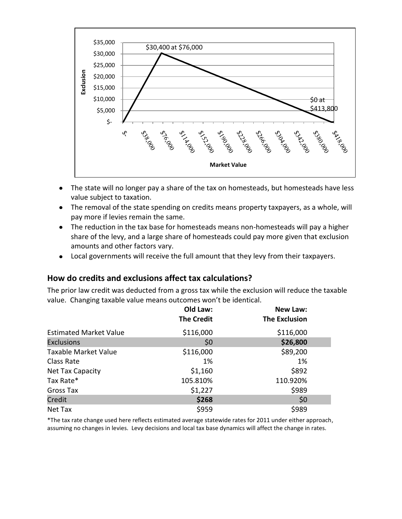

- The state will no longer pay a share of the tax on homesteads, but homesteads have less value subject to taxation.
- The removal of the state spending on credits means property taxpayers, as a whole, will pay more if levies remain the same.
- The reduction in the tax base for homesteads means non-homesteads will pay a higher share of the levy, and a large share of homesteads could pay more given that exclusion amounts and other factors vary.
- Local governments will receive the full amount that they levy from their taxpayers.

#### **How do credits and exclusions affect tax calculations?**

The prior law credit was deducted from a gross tax while the exclusion will reduce the taxable value. Changing taxable value means outcomes won't be identical.

|                               | Old Law:          | New Law:             |
|-------------------------------|-------------------|----------------------|
|                               | <b>The Credit</b> | <b>The Exclusion</b> |
| <b>Estimated Market Value</b> | \$116,000         | \$116,000            |
| <b>Exclusions</b>             | \$0               | \$26,800             |
| <b>Taxable Market Value</b>   | \$116,000         | \$89,200             |
| Class Rate                    | 1%                | 1%                   |
| Net Tax Capacity              | \$1,160           | \$892                |
| Tax Rate*                     | 105.810%          | 110.920%             |
| Gross Tax                     | \$1,227           | \$989                |
| Credit                        | \$268             | \$0                  |
| Net Tax                       | \$959             | \$989                |

\*The tax rate change used here reflects estimated average statewide rates for 2011 under either approach, assuming no changes in levies. Levy decisions and local tax base dynamics will affect the change in rates.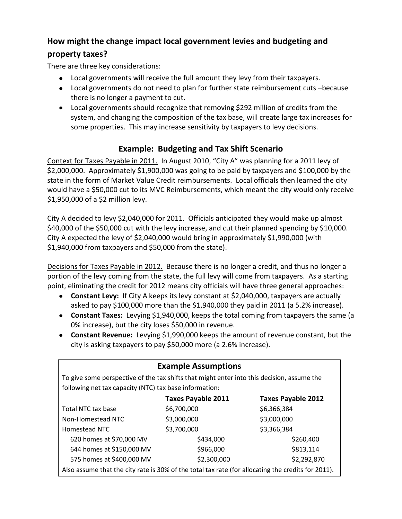## **How might the change impact local government levies and budgeting and**

#### **property taxes?**

There are three key considerations:

- Local governments will receive the full amount they levy from their taxpayers.
- Local governments do not need to plan for further state reimbursement cuts –because there is no longer a payment to cut.
- Local governments should recognize that removing \$292 million of credits from the system, and changing the composition of the tax base, will create large tax increases for some properties. This may increase sensitivity by taxpayers to levy decisions.

### **Example: Budgeting and Tax Shift Scenario**

Context for Taxes Payable in 2011. In August 2010, "City A" was planning for a 2011 levy of \$2,000,000. Approximately \$1,900,000 was going to be paid by taxpayers and \$100,000 by the state in the form of Market Value Credit reimbursements. Local officials then learned the city would have a \$50,000 cut to its MVC Reimbursements, which meant the city would only receive \$1,950,000 of a \$2 million levy.

City A decided to levy \$2,040,000 for 2011. Officials anticipated they would make up almost \$40,000 of the \$50,000 cut with the levy increase, and cut their planned spending by \$10,000. City A expected the levy of \$2,040,000 would bring in approximately \$1,990,000 (with \$1,940,000 from taxpayers and \$50,000 from the state).

Decisions for Taxes Payable in 2012. Because there is no longer a credit, and thus no longer a portion of the levy coming from the state, the full levy will come from taxpayers. As a starting point, eliminating the credit for 2012 means city officials will have three general approaches:

- **Constant Levy:** If City A keeps its levy constant at \$2,040,000, taxpayers are actually asked to pay \$100,000 more than the \$1,940,000 they paid in 2011 (a 5.2% increase).
- **Constant Taxes:** Levying \$1,940,000, keeps the total coming from taxpayers the same (a 0% increase), but the city loses \$50,000 in revenue.
- **Constant Revenue:** Levying \$1,990,000 keeps the amount of revenue constant, but the city is asking taxpayers to pay \$50,000 more (a 2.6% increase).

| <b>Example Assumptions</b>                                                                         |                           |                           |  |  |  |  |  |
|----------------------------------------------------------------------------------------------------|---------------------------|---------------------------|--|--|--|--|--|
| To give some perspective of the tax shifts that might enter into this decision, assume the         |                           |                           |  |  |  |  |  |
| following net tax capacity (NTC) tax base information:                                             |                           |                           |  |  |  |  |  |
|                                                                                                    | <b>Taxes Payable 2011</b> | <b>Taxes Payable 2012</b> |  |  |  |  |  |
| Total NTC tax base                                                                                 | \$6,700,000               | \$6,366,384               |  |  |  |  |  |
| Non-Homestead NTC                                                                                  | \$3,000,000               | \$3,000,000               |  |  |  |  |  |
| Homestead NTC                                                                                      | \$3,700,000               | \$3,366,384               |  |  |  |  |  |
| 620 homes at \$70,000 MV                                                                           | \$434,000                 | \$260,400                 |  |  |  |  |  |
| 644 homes at \$150,000 MV                                                                          | \$966,000                 | \$813,114                 |  |  |  |  |  |
| 575 homes at \$400,000 MV                                                                          | \$2,300,000               | \$2,292,870               |  |  |  |  |  |
| Also assume that the city rate is 30% of the total tax rate (for allocating the credits for 2011). |                           |                           |  |  |  |  |  |